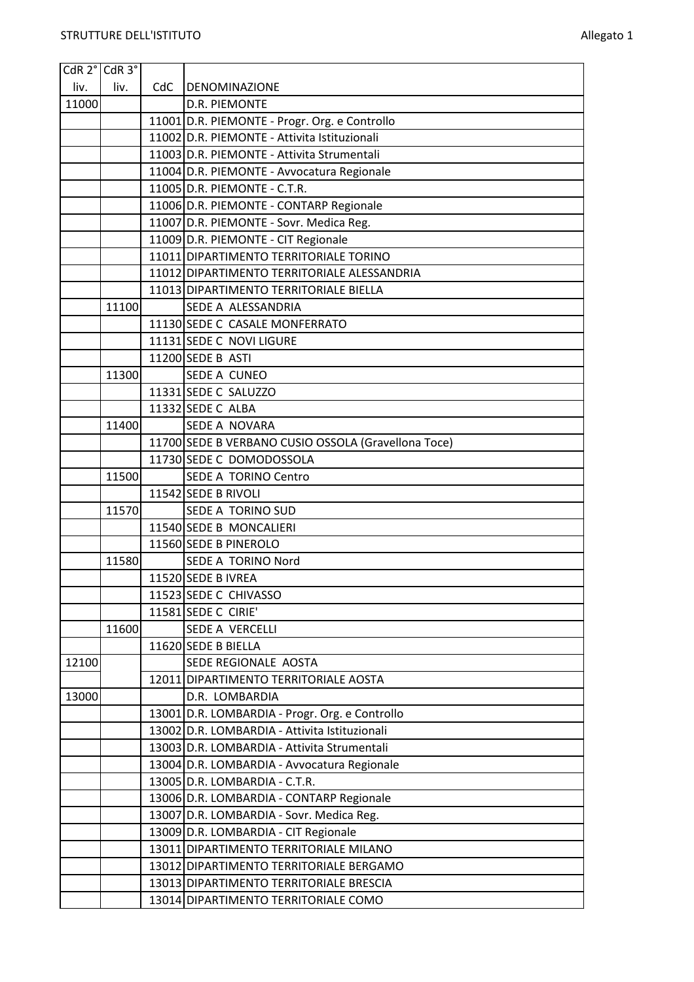|       | CdR 2° CdR 3° |     |                                                                           |
|-------|---------------|-----|---------------------------------------------------------------------------|
| liv.  | liv.          | CdC | <b>DENOMINAZIONE</b>                                                      |
| 11000 |               |     | <b>D.R. PIEMONTE</b>                                                      |
|       |               |     | 11001 D.R. PIEMONTE - Progr. Org. e Controllo                             |
|       |               |     | 11002 D.R. PIEMONTE - Attivita Istituzionali                              |
|       |               |     | 11003 D.R. PIEMONTE - Attivita Strumentali                                |
|       |               |     | 11004 D.R. PIEMONTE - Avvocatura Regionale                                |
|       |               |     | 11005 D.R. PIEMONTE - C.T.R.                                              |
|       |               |     | 11006 D.R. PIEMONTE - CONTARP Regionale                                   |
|       |               |     | 11007 D.R. PIEMONTE - Sovr. Medica Reg.                                   |
|       |               |     | 11009 D.R. PIEMONTE - CIT Regionale                                       |
|       |               |     | 11011 DIPARTIMENTO TERRITORIALE TORINO                                    |
|       |               |     | 11012 DIPARTIMENTO TERRITORIALE ALESSANDRIA                               |
|       |               |     | 11013 DIPARTIMENTO TERRITORIALE BIELLA                                    |
|       | 11100         |     | SEDE A ALESSANDRIA                                                        |
|       |               |     | 11130 SEDE C CASALE MONFERRATO                                            |
|       |               |     | 11131 SEDE C NOVI LIGURE                                                  |
|       |               |     | 11200 SEDE B ASTI                                                         |
|       | 11300         |     | <b>SEDE A CUNEO</b>                                                       |
|       |               |     | 11331 SEDE C SALUZZO                                                      |
|       |               |     | 11332 SEDE C ALBA                                                         |
|       | 11400         |     | SEDE A NOVARA                                                             |
|       |               |     | 11700 SEDE B VERBANO CUSIO OSSOLA (Gravellona Toce)                       |
|       |               |     | 11730 SEDE C DOMODOSSOLA                                                  |
|       | 11500         |     | SEDE A TORINO Centro                                                      |
|       |               |     | 11542 SEDE B RIVOLI                                                       |
|       | 11570         |     | <b>SEDE A TORINO SUD</b>                                                  |
|       |               |     | 11540 SEDE B MONCALIERI                                                   |
|       |               |     | 11560 SEDE B PINEROLO                                                     |
|       | 11580         |     | SEDE A TORINO Nord                                                        |
|       |               |     | 11520 SEDE B IVREA                                                        |
|       |               |     | 11523 SEDE C CHIVASSO                                                     |
|       |               |     | 11581 SEDE C CIRIE'                                                       |
|       | 11600         |     | <b>SEDE A VERCELLI</b>                                                    |
|       |               |     | 11620 SEDE B BIELLA                                                       |
| 12100 |               |     | SEDE REGIONALE AOSTA                                                      |
|       |               |     | 12011 DIPARTIMENTO TERRITORIALE AOSTA                                     |
| 13000 |               |     | D.R. LOMBARDIA                                                            |
|       |               |     | 13001 D.R. LOMBARDIA - Progr. Org. e Controllo                            |
|       |               |     | 13002 D.R. LOMBARDIA - Attivita Istituzionali                             |
|       |               |     | 13003 D.R. LOMBARDIA - Attivita Strumentali                               |
|       |               |     | 13004 D.R. LOMBARDIA - Avvocatura Regionale                               |
|       |               |     | 13005 D.R. LOMBARDIA - C.T.R.<br>13006 D.R. LOMBARDIA - CONTARP Regionale |
|       |               |     | 13007 D.R. LOMBARDIA - Sovr. Medica Reg.                                  |
|       |               |     | 13009 D.R. LOMBARDIA - CIT Regionale                                      |
|       |               |     | 13011 DIPARTIMENTO TERRITORIALE MILANO                                    |
|       |               |     | 13012 DIPARTIMENTO TERRITORIALE BERGAMO                                   |
|       |               |     | 13013 DIPARTIMENTO TERRITORIALE BRESCIA                                   |
|       |               |     | 13014 DIPARTIMENTO TERRITORIALE COMO                                      |
|       |               |     |                                                                           |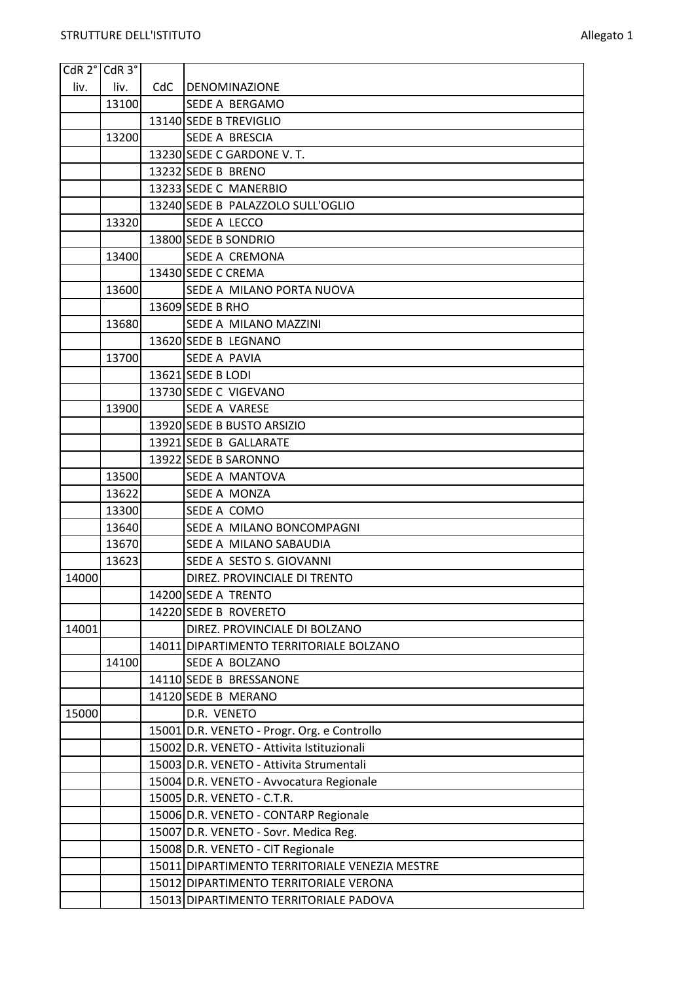Ŧ

| $CdR$ 2 $^{\circ}$ $CdR$ 3 $^{\circ}$ |       |     |                                                |
|---------------------------------------|-------|-----|------------------------------------------------|
| liv.                                  | liv.  | CdC | DENOMINAZIONE                                  |
|                                       | 13100 |     | <b>SEDE A BERGAMO</b>                          |
|                                       |       |     | 13140 SEDE B TREVIGLIO                         |
|                                       | 13200 |     | <b>SEDE A BRESCIA</b>                          |
|                                       |       |     | 13230 SEDE C GARDONE V. T.                     |
|                                       |       |     | 13232 SEDE B BRENO                             |
|                                       |       |     | 13233 SEDE C MANERBIO                          |
|                                       |       |     | 13240 SEDE B PALAZZOLO SULL'OGLIO              |
|                                       | 13320 |     | SEDE A LECCO                                   |
|                                       |       |     | 13800 SEDE B SONDRIO                           |
|                                       | 13400 |     | SEDE A CREMONA                                 |
|                                       |       |     | 13430 SEDE C CREMA                             |
|                                       | 13600 |     | SEDE A MILANO PORTA NUOVA                      |
|                                       |       |     | 13609 SEDE B RHO                               |
|                                       | 13680 |     | <b>SEDE A MILANO MAZZINI</b>                   |
|                                       |       |     | 13620 SEDE B LEGNANO                           |
|                                       | 13700 |     | SEDE A PAVIA                                   |
|                                       |       |     | 13621 SEDE B LODI                              |
|                                       |       |     | 13730 SEDE C VIGEVANO                          |
|                                       | 13900 |     | <b>SEDE A VARESE</b>                           |
|                                       |       |     | 13920 SEDE B BUSTO ARSIZIO                     |
|                                       |       |     | 13921 SEDE B GALLARATE                         |
|                                       |       |     | 13922 SEDE B SARONNO                           |
|                                       | 13500 |     | SEDE A MANTOVA                                 |
|                                       | 13622 |     | SEDE A MONZA                                   |
|                                       | 13300 |     | SEDE A COMO                                    |
|                                       | 13640 |     | SEDE A MILANO BONCOMPAGNI                      |
|                                       | 13670 |     | SEDE A MILANO SABAUDIA                         |
|                                       | 13623 |     | SEDE A SESTO S. GIOVANNI                       |
| 14000                                 |       |     | DIREZ. PROVINCIALE DI TRENTO                   |
|                                       |       |     | 14200 SEDE A TRENTO                            |
|                                       |       |     | 14220 SEDE B ROVERETO                          |
| 14001                                 |       |     | DIREZ. PROVINCIALE DI BOLZANO                  |
|                                       |       |     | 14011 DIPARTIMENTO TERRITORIALE BOLZANO        |
|                                       | 14100 |     | <b>SEDE A BOLZANO</b>                          |
|                                       |       |     | 14110 SEDE B BRESSANONE                        |
|                                       |       |     | 14120 SEDE B MERANO                            |
| 15000                                 |       |     | D.R. VENETO                                    |
|                                       |       |     | 15001 D.R. VENETO - Progr. Org. e Controllo    |
|                                       |       |     | 15002 D.R. VENETO - Attivita Istituzionali     |
|                                       |       |     | 15003 D.R. VENETO - Attivita Strumentali       |
|                                       |       |     | 15004 D.R. VENETO - Avvocatura Regionale       |
|                                       |       |     | 15005 D.R. VENETO - C.T.R.                     |
|                                       |       |     | 15006 D.R. VENETO - CONTARP Regionale          |
|                                       |       |     | 15007 D.R. VENETO - Sovr. Medica Reg.          |
|                                       |       |     | 15008 D.R. VENETO - CIT Regionale              |
|                                       |       |     | 15011 DIPARTIMENTO TERRITORIALE VENEZIA MESTRE |
|                                       |       |     | 15012 DIPARTIMENTO TERRITORIALE VERONA         |
|                                       |       |     | 15013 DIPARTIMENTO TERRITORIALE PADOVA         |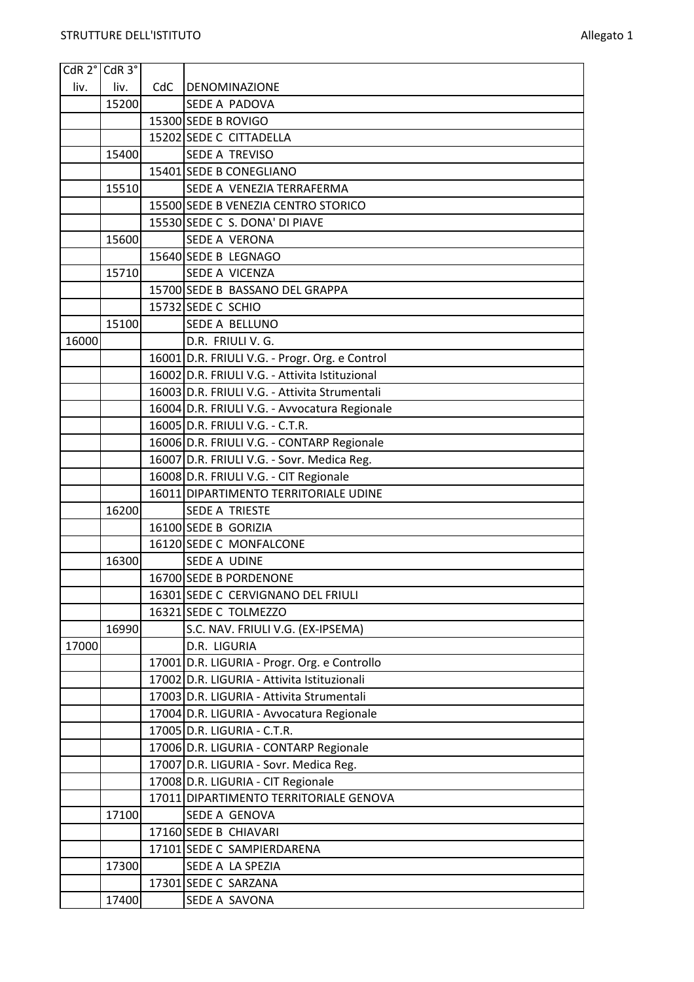| CdR 2° CdR 3° |       |     |                                                |
|---------------|-------|-----|------------------------------------------------|
| liv.          | liv.  | CdC | <b>DENOMINAZIONE</b>                           |
|               | 15200 |     | SEDE A PADOVA                                  |
|               |       |     | 15300 SEDE B ROVIGO                            |
|               |       |     | 15202 SEDE C CITTADELLA                        |
|               | 15400 |     | SEDE A TREVISO                                 |
|               |       |     | 15401 SEDE B CONEGLIANO                        |
|               | 15510 |     | SEDE A VENEZIA TERRAFERMA                      |
|               |       |     | 15500 SEDE B VENEZIA CENTRO STORICO            |
|               |       |     | 15530 SEDE C S. DONA' DI PIAVE                 |
|               | 15600 |     | <b>SEDE A VERONA</b>                           |
|               |       |     | 15640 SEDE B LEGNAGO                           |
|               | 15710 |     | SEDE A VICENZA                                 |
|               |       |     | 15700 SEDE B BASSANO DEL GRAPPA                |
|               |       |     | 15732 SEDE C SCHIO                             |
|               | 15100 |     | <b>SEDE A BELLUNO</b>                          |
| 16000         |       |     | D.R. FRIULI V. G.                              |
|               |       |     | 16001 D.R. FRIULI V.G. - Progr. Org. e Control |
|               |       |     | 16002 D.R. FRIULI V.G. - Attivita Istituzional |
|               |       |     | 16003 D.R. FRIULI V.G. - Attivita Strumentali  |
|               |       |     | 16004 D.R. FRIULI V.G. - Avvocatura Regionale  |
|               |       |     | 16005 D.R. FRIULI V.G. - C.T.R.                |
|               |       |     | 16006 D.R. FRIULI V.G. - CONTARP Regionale     |
|               |       |     | 16007 D.R. FRIULI V.G. - Sovr. Medica Reg.     |
|               |       |     | 16008 D.R. FRIULI V.G. - CIT Regionale         |
|               |       |     | 16011 DIPARTIMENTO TERRITORIALE UDINE          |
|               | 16200 |     | <b>SEDE A TRIESTE</b>                          |
|               |       |     | 16100 SEDE B GORIZIA                           |
|               |       |     | 16120 SEDE C MONFALCONE                        |
|               | 16300 |     | SEDE A UDINE                                   |
|               |       |     | 16700 SEDE B PORDENONE                         |
|               |       |     | 16301 SEDE C CERVIGNANO DEL FRIULI             |
|               |       |     | 16321 SEDE C TOLMEZZO                          |
|               | 16990 |     | S.C. NAV. FRIULI V.G. (EX-IPSEMA)              |
| 17000         |       |     | D.R. LIGURIA                                   |
|               |       |     | 17001 D.R. LIGURIA - Progr. Org. e Controllo   |
|               |       |     | 17002 D.R. LIGURIA - Attivita Istituzionali    |
|               |       |     | 17003 D.R. LIGURIA - Attivita Strumentali      |
|               |       |     | 17004 D.R. LIGURIA - Avvocatura Regionale      |
|               |       |     | 17005 D.R. LIGURIA - C.T.R.                    |
|               |       |     | 17006 D.R. LIGURIA - CONTARP Regionale         |
|               |       |     | 17007 D.R. LIGURIA - Sovr. Medica Reg.         |
|               |       |     | 17008 D.R. LIGURIA - CIT Regionale             |
|               |       |     | 17011 DIPARTIMENTO TERRITORIALE GENOVA         |
|               | 17100 |     | SEDE A GENOVA                                  |
|               |       |     | 17160 SEDE B CHIAVARI                          |
|               |       |     | 17101 SEDE C SAMPIERDARENA                     |
|               | 17300 |     | SEDE A LA SPEZIA                               |
|               |       |     | 17301 SEDE C SARZANA                           |
|               | 17400 |     | SEDE A SAVONA                                  |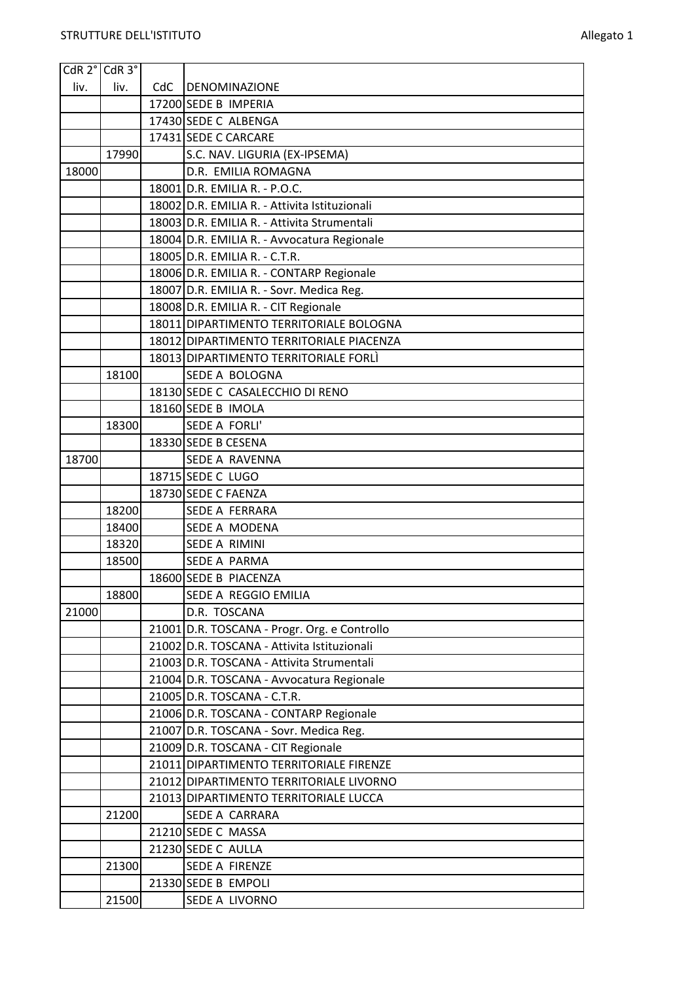| CdR 2° CdR 3° |       |     |                                               |
|---------------|-------|-----|-----------------------------------------------|
| liv.          | liv.  | CdC | DENOMINAZIONE                                 |
|               |       |     | 17200 SEDE B IMPERIA                          |
|               |       |     | 17430 SEDE C ALBENGA                          |
|               |       |     | 17431 SEDE C CARCARE                          |
|               | 17990 |     | S.C. NAV. LIGURIA (EX-IPSEMA)                 |
| 18000         |       |     | D.R. EMILIA ROMAGNA                           |
|               |       |     | 18001 D.R. EMILIA R. - P.O.C.                 |
|               |       |     | 18002 D.R. EMILIA R. - Attivita Istituzionali |
|               |       |     | 18003 D.R. EMILIA R. - Attivita Strumentali   |
|               |       |     | 18004 D.R. EMILIA R. - Avvocatura Regionale   |
|               |       |     | 18005 D.R. EMILIA R. - C.T.R.                 |
|               |       |     | 18006 D.R. EMILIA R. - CONTARP Regionale      |
|               |       |     | 18007 D.R. EMILIA R. - Sovr. Medica Reg.      |
|               |       |     | 18008 D.R. EMILIA R. - CIT Regionale          |
|               |       |     | 18011 DIPARTIMENTO TERRITORIALE BOLOGNA       |
|               |       |     | 18012 DIPARTIMENTO TERRITORIALE PIACENZA      |
|               |       |     | 18013 DIPARTIMENTO TERRITORIALE FORLI         |
|               | 18100 |     | SEDE A BOLOGNA                                |
|               |       |     | 18130 SEDE C CASALECCHIO DI RENO              |
|               |       |     | 18160 SEDE B IMOLA                            |
|               | 18300 |     | SEDE A FORLI'                                 |
|               |       |     | 18330 SEDE B CESENA                           |
| 18700         |       |     | <b>SEDE A RAVENNA</b>                         |
|               |       |     | 18715 SEDE C LUGO                             |
|               |       |     | 18730 SEDE C FAENZA                           |
|               | 18200 |     | SEDE A FERRARA                                |
|               | 18400 |     | SEDE A MODENA                                 |
|               | 18320 |     | SEDE A RIMINI                                 |
|               | 18500 |     | <b>SEDE A PARMA</b>                           |
|               |       |     | 18600 SEDE B PIACENZA                         |
|               | 18800 |     | SEDE A REGGIO EMILIA                          |
| 21000         |       |     | D.R. TOSCANA                                  |
|               |       |     | 21001 D.R. TOSCANA - Progr. Org. e Controllo  |
|               |       |     | 21002 D.R. TOSCANA - Attivita Istituzionali   |
|               |       |     | 21003 D.R. TOSCANA - Attivita Strumentali     |
|               |       |     | 21004 D.R. TOSCANA - Avvocatura Regionale     |
|               |       |     | 21005 D.R. TOSCANA - C.T.R.                   |
|               |       |     | 21006 D.R. TOSCANA - CONTARP Regionale        |
|               |       |     | 21007 D.R. TOSCANA - Sovr. Medica Reg.        |
|               |       |     | 21009 D.R. TOSCANA - CIT Regionale            |
|               |       |     | 21011 DIPARTIMENTO TERRITORIALE FIRENZE       |
|               |       |     | 21012 DIPARTIMENTO TERRITORIALE LIVORNO       |
|               |       |     | 21013 DIPARTIMENTO TERRITORIALE LUCCA         |
|               | 21200 |     | SEDE A CARRARA                                |
|               |       |     | 21210 SEDE C MASSA                            |
|               |       |     | 21230 SEDE C AULLA                            |
|               | 21300 |     | SEDE A FIRENZE                                |
|               |       |     | 21330 SEDE B EMPOLI                           |
|               | 21500 |     | SEDE A LIVORNO                                |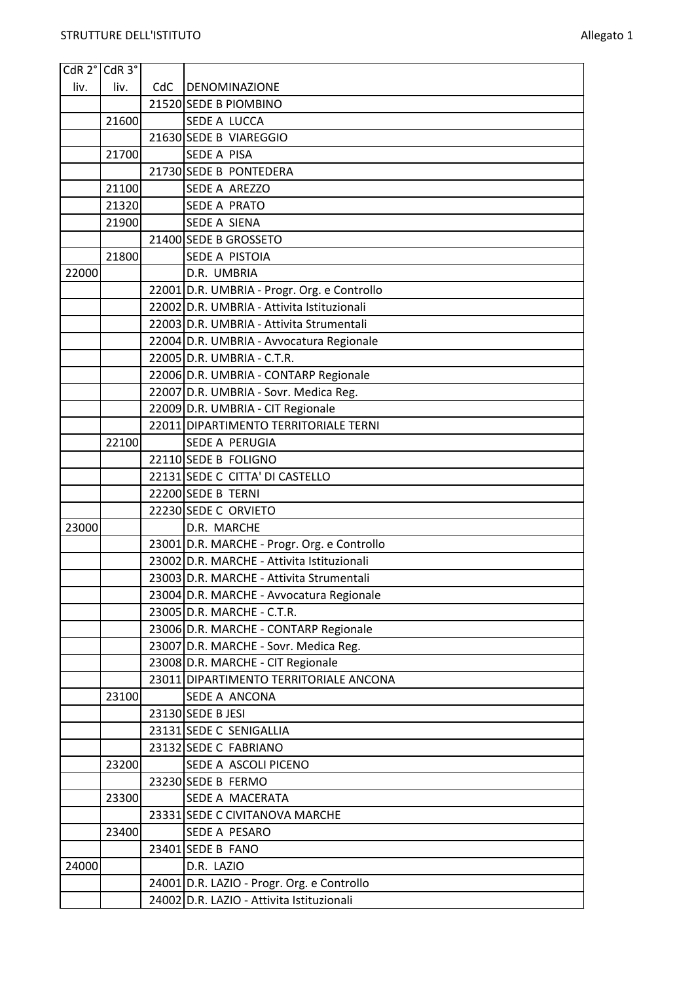| CdR 2° CdR 3° |       |     |                                             |
|---------------|-------|-----|---------------------------------------------|
| liv.          | liv.  | CdC | DENOMINAZIONE                               |
|               |       |     | 21520 SEDE B PIOMBINO                       |
|               | 21600 |     | SEDE A LUCCA                                |
|               |       |     | 21630 SEDE B VIAREGGIO                      |
|               | 21700 |     | <b>SEDE A PISA</b>                          |
|               |       |     | 21730 SEDE B PONTEDERA                      |
|               | 21100 |     | SEDE A AREZZO                               |
|               | 21320 |     | <b>SEDE A PRATO</b>                         |
|               | 21900 |     | SEDE A SIENA                                |
|               |       |     | 21400 SEDE B GROSSETO                       |
|               | 21800 |     | SEDE A PISTOIA                              |
| 22000         |       |     | D.R. UMBRIA                                 |
|               |       |     | 22001 D.R. UMBRIA - Progr. Org. e Controllo |
|               |       |     | 22002 D.R. UMBRIA - Attivita Istituzionali  |
|               |       |     | 22003 D.R. UMBRIA - Attivita Strumentali    |
|               |       |     | 22004 D.R. UMBRIA - Avvocatura Regionale    |
|               |       |     | 22005 D.R. UMBRIA - C.T.R.                  |
|               |       |     | 22006 D.R. UMBRIA - CONTARP Regionale       |
|               |       |     | 22007 D.R. UMBRIA - Sovr. Medica Reg.       |
|               |       |     | 22009 D.R. UMBRIA - CIT Regionale           |
|               |       |     | 22011 DIPARTIMENTO TERRITORIALE TERNI       |
|               | 22100 |     | SEDE A PERUGIA                              |
|               |       |     | 22110 SEDE B FOLIGNO                        |
|               |       |     | 22131 SEDE C CITTA' DI CASTELLO             |
|               |       |     | 22200 SEDE B TERNI                          |
|               |       |     | 22230 SEDE C ORVIETO                        |
| 23000         |       |     | D.R. MARCHE                                 |
|               |       |     | 23001 D.R. MARCHE - Progr. Org. e Controllo |
|               |       |     | 23002 D.R. MARCHE - Attivita Istituzionali  |
|               |       |     | 23003 D.R. MARCHE - Attivita Strumentali    |
|               |       |     | 23004 D.R. MARCHE - Avvocatura Regionale    |
|               |       |     | 23005 D.R. MARCHE - C.T.R.                  |
|               |       |     | 23006 D.R. MARCHE - CONTARP Regionale       |
|               |       |     | 23007 D.R. MARCHE - Sovr. Medica Reg.       |
|               |       |     | 23008 D.R. MARCHE - CIT Regionale           |
|               |       |     | 23011 DIPARTIMENTO TERRITORIALE ANCONA      |
|               | 23100 |     | SEDE A ANCONA                               |
|               |       |     | 23130 SEDE B JESI                           |
|               |       |     | 23131 SEDE C SENIGALLIA                     |
|               |       |     | 23132 SEDE C FABRIANO                       |
|               | 23200 |     | SEDE A ASCOLI PICENO                        |
|               |       |     | 23230 SEDE B FERMO                          |
|               | 23300 |     | SEDE A MACERATA                             |
|               |       |     | 23331 SEDE C CIVITANOVA MARCHE              |
|               | 23400 |     | SEDE A PESARO                               |
|               |       |     | 23401 SEDE B FANO                           |
| 24000         |       |     | D.R. LAZIO                                  |
|               |       |     | 24001 D.R. LAZIO - Progr. Org. e Controllo  |
|               |       |     | 24002 D.R. LAZIO - Attivita Istituzionali   |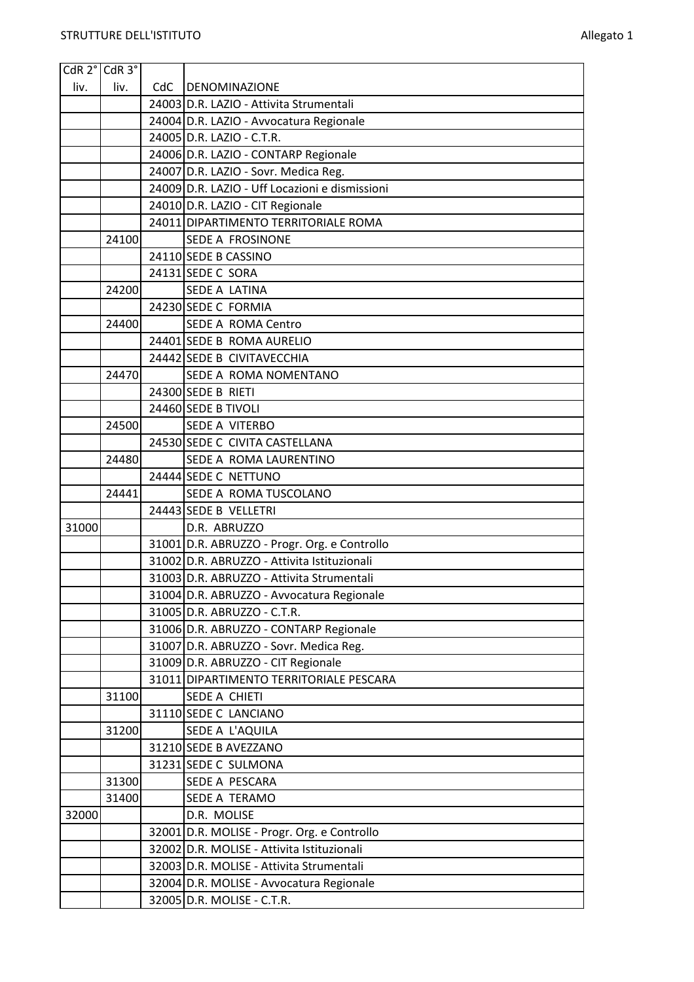| CdR 2° CdR 3° |       |     |                                                |
|---------------|-------|-----|------------------------------------------------|
| liv.          | liv.  | CdC | DENOMINAZIONE                                  |
|               |       |     | 24003 D.R. LAZIO - Attivita Strumentali        |
|               |       |     | 24004 D.R. LAZIO - Avvocatura Regionale        |
|               |       |     | 24005 D.R. LAZIO - C.T.R.                      |
|               |       |     | 24006 D.R. LAZIO - CONTARP Regionale           |
|               |       |     | 24007 D.R. LAZIO - Sovr. Medica Reg.           |
|               |       |     | 24009 D.R. LAZIO - Uff Locazioni e dismissioni |
|               |       |     | 24010 D.R. LAZIO - CIT Regionale               |
|               |       |     | 24011 DIPARTIMENTO TERRITORIALE ROMA           |
|               | 24100 |     | SEDE A FROSINONE                               |
|               |       |     | 24110 SEDE B CASSINO                           |
|               |       |     | 24131 SEDE C SORA                              |
|               | 24200 |     | <b>SEDE A LATINA</b>                           |
|               |       |     | 24230 SEDE C FORMIA                            |
|               | 24400 |     | <b>SEDE A ROMA Centro</b>                      |
|               |       |     | 24401 SEDE B ROMA AURELIO                      |
|               |       |     | 24442 SEDE B CIVITAVECCHIA                     |
|               | 24470 |     | SEDE A ROMA NOMENTANO                          |
|               |       |     | 24300 SEDE B RIETI                             |
|               |       |     | 24460 SEDE B TIVOLI                            |
|               | 24500 |     | <b>SEDE A VITERBO</b>                          |
|               |       |     | 24530 SEDE C CIVITA CASTELLANA                 |
|               | 24480 |     | SEDE A ROMA LAURENTINO                         |
|               |       |     | 24444 SEDE C NETTUNO                           |
|               | 24441 |     | SEDE A ROMA TUSCOLANO                          |
|               |       |     | 24443 SEDE B VELLETRI                          |
| 31000         |       |     | D.R. ABRUZZO                                   |
|               |       |     | 31001 D.R. ABRUZZO - Progr. Org. e Controllo   |
|               |       |     | 31002 D.R. ABRUZZO - Attivita Istituzionali    |
|               |       |     | 31003 D.R. ABRUZZO - Attivita Strumentali      |
|               |       |     | 31004 D.R. ABRUZZO - Avvocatura Regionale      |
|               |       |     | 31005 D.R. ABRUZZO - C.T.R.                    |
|               |       |     | 31006 D.R. ABRUZZO - CONTARP Regionale         |
|               |       |     | 31007 D.R. ABRUZZO - Sovr. Medica Reg.         |
|               |       |     | 31009 D.R. ABRUZZO - CIT Regionale             |
|               |       |     | 31011 DIPARTIMENTO TERRITORIALE PESCARA        |
|               | 31100 |     | SEDE A CHIETI                                  |
|               |       |     | 31110 SEDE C LANCIANO                          |
|               | 31200 |     | SEDE A L'AQUILA                                |
|               |       |     | 31210 SEDE B AVEZZANO                          |
|               |       |     | 31231 SEDE C SULMONA                           |
|               | 31300 |     | SEDE A PESCARA                                 |
|               | 31400 |     | SEDE A TERAMO                                  |
| 32000         |       |     | D.R. MOLISE                                    |
|               |       |     | 32001 D.R. MOLISE - Progr. Org. e Controllo    |
|               |       |     | 32002 D.R. MOLISE - Attivita Istituzionali     |
|               |       |     | 32003 D.R. MOLISE - Attivita Strumentali       |
|               |       |     | 32004 D.R. MOLISE - Avvocatura Regionale       |
|               |       |     | 32005 D.R. MOLISE - C.T.R.                     |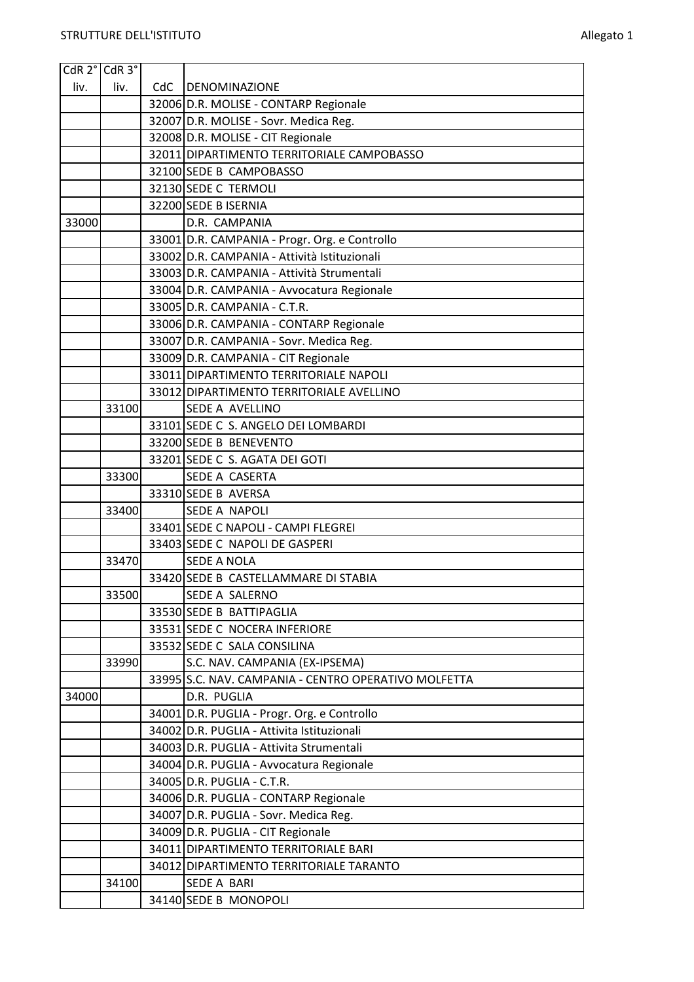|       | CdR 2° CdR 3° |     |                                                                                           |
|-------|---------------|-----|-------------------------------------------------------------------------------------------|
| liv.  | liv.          | CdC | <b>DENOMINAZIONE</b>                                                                      |
|       |               |     | 32006 D.R. MOLISE - CONTARP Regionale                                                     |
|       |               |     | 32007 D.R. MOLISE - Sovr. Medica Reg.                                                     |
|       |               |     | 32008 D.R. MOLISE - CIT Regionale                                                         |
|       |               |     | 32011 DIPARTIMENTO TERRITORIALE CAMPOBASSO                                                |
|       |               |     | 32100 SEDE B CAMPOBASSO                                                                   |
|       |               |     | 32130 SEDE C TERMOLI                                                                      |
|       |               |     | 32200 SEDE B ISERNIA                                                                      |
| 33000 |               |     | D.R. CAMPANIA                                                                             |
|       |               |     | 33001 D.R. CAMPANIA - Progr. Org. e Controllo                                             |
|       |               |     | 33002 D.R. CAMPANIA - Attività Istituzionali                                              |
|       |               |     | 33003 D.R. CAMPANIA - Attività Strumentali                                                |
|       |               |     | 33004 D.R. CAMPANIA - Avvocatura Regionale                                                |
|       |               |     | 33005 D.R. CAMPANIA - C.T.R.                                                              |
|       |               |     | 33006 D.R. CAMPANIA - CONTARP Regionale                                                   |
|       |               |     | 33007 D.R. CAMPANIA - Sovr. Medica Reg.                                                   |
|       |               |     | 33009 D.R. CAMPANIA - CIT Regionale                                                       |
|       |               |     | 33011 DIPARTIMENTO TERRITORIALE NAPOLI                                                    |
|       |               |     | 33012 DIPARTIMENTO TERRITORIALE AVELLINO                                                  |
|       | 33100         |     | SEDE A AVELLINO                                                                           |
|       |               |     | 33101 SEDE C S. ANGELO DEI LOMBARDI                                                       |
|       |               |     | 33200 SEDE B BENEVENTO                                                                    |
|       |               |     | 33201 SEDE C S. AGATA DEI GOTI                                                            |
|       | 33300         |     | SEDE A CASERTA                                                                            |
|       |               |     | 33310 SEDE B AVERSA                                                                       |
|       | 33400         |     | <b>SEDE A NAPOLI</b>                                                                      |
|       |               |     | 33401 SEDE C NAPOLI - CAMPI FLEGREI                                                       |
|       |               |     | 33403 SEDE C NAPOLI DE GASPERI                                                            |
|       | 33470         |     | <b>SEDE A NOLA</b>                                                                        |
|       |               |     | 33420 SEDE B CASTELLAMMARE DI STABIA                                                      |
|       | 33500         |     | SEDE A SALERNO                                                                            |
|       |               |     | 33530 SEDE B BATTIPAGLIA                                                                  |
|       |               |     | 33531 SEDE C NOCERA INFERIORE                                                             |
|       |               |     | 33532 SEDE C SALA CONSILINA                                                               |
|       | 33990         |     | S.C. NAV. CAMPANIA (EX-IPSEMA)<br>33995 S.C. NAV. CAMPANIA - CENTRO OPERATIVO MOLFETTA    |
| 34000 |               |     | D.R. PUGLIA                                                                               |
|       |               |     |                                                                                           |
|       |               |     | 34001 D.R. PUGLIA - Progr. Org. e Controllo<br>34002 D.R. PUGLIA - Attivita Istituzionali |
|       |               |     | 34003 D.R. PUGLIA - Attivita Strumentali                                                  |
|       |               |     | 34004 D.R. PUGLIA - Avvocatura Regionale                                                  |
|       |               |     | 34005 D.R. PUGLIA - C.T.R.                                                                |
|       |               |     | 34006 D.R. PUGLIA - CONTARP Regionale                                                     |
|       |               |     | 34007 D.R. PUGLIA - Sovr. Medica Reg.                                                     |
|       |               |     | 34009 D.R. PUGLIA - CIT Regionale                                                         |
|       |               |     | 34011 DIPARTIMENTO TERRITORIALE BARI                                                      |
|       |               |     | 34012 DIPARTIMENTO TERRITORIALE TARANTO                                                   |
|       | 34100         |     | SEDE A BARI                                                                               |
|       |               |     | 34140 SEDE B MONOPOLI                                                                     |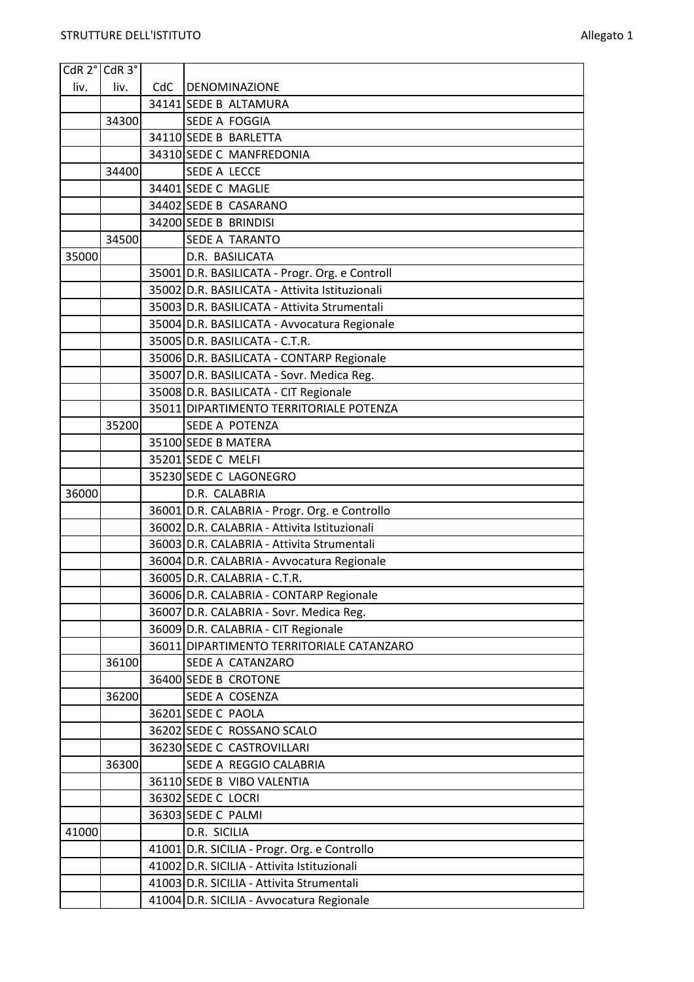Ŧ

| $CdR$ 2 $^{\circ}$ $CdR$ 3 $^{\circ}$ |       |     |                                                |
|---------------------------------------|-------|-----|------------------------------------------------|
| liv.                                  | liv.  | CdC | <b>DENOMINAZIONE</b>                           |
|                                       |       |     | 34141 SEDE B ALTAMURA                          |
|                                       | 34300 |     | SEDE A FOGGIA                                  |
|                                       |       |     | 34110 SEDE B BARLETTA                          |
|                                       |       |     | 34310 SEDE C MANFREDONIA                       |
|                                       | 34400 |     | SEDE A LECCE                                   |
|                                       |       |     | 34401 SEDE C MAGLIE                            |
|                                       |       |     | 34402 SEDE B CASARANO                          |
|                                       |       |     | 34200 SEDE B BRINDISI                          |
|                                       | 34500 |     | <b>SEDE A TARANTO</b>                          |
| 35000                                 |       |     | D.R. BASILICATA                                |
|                                       |       |     | 35001 D.R. BASILICATA - Progr. Org. e Controll |
|                                       |       |     | 35002 D.R. BASILICATA - Attivita Istituzionali |
|                                       |       |     | 35003 D.R. BASILICATA - Attivita Strumentali   |
|                                       |       |     | 35004 D.R. BASILICATA - Avvocatura Regionale   |
|                                       |       |     | 35005 D.R. BASILICATA - C.T.R.                 |
|                                       |       |     | 35006 D.R. BASILICATA - CONTARP Regionale      |
|                                       |       |     | 35007 D.R. BASILICATA - Sovr. Medica Reg.      |
|                                       |       |     | 35008 D.R. BASILICATA - CIT Regionale          |
|                                       |       |     | 35011 DIPARTIMENTO TERRITORIALE POTENZA        |
|                                       | 35200 |     | SEDE A POTENZA                                 |
|                                       |       |     | 35100 SEDE B MATERA                            |
|                                       |       |     | 35201 SEDE C MELFI                             |
|                                       |       |     | 35230 SEDE C LAGONEGRO                         |
| 36000                                 |       |     | D.R. CALABRIA                                  |
|                                       |       |     | 36001 D.R. CALABRIA - Progr. Org. e Controllo  |
|                                       |       |     | 36002 D.R. CALABRIA - Attivita Istituzionali   |
|                                       |       |     | 36003 D.R. CALABRIA - Attivita Strumentali     |
|                                       |       |     | 36004 D.R. CALABRIA - Avvocatura Regionale     |
|                                       |       |     | 36005 D.R. CALABRIA - C.T.R.                   |
|                                       |       |     | 36006 D.R. CALABRIA - CONTARP Regionale        |
|                                       |       |     | 36007 D.R. CALABRIA - Sovr. Medica Reg.        |
|                                       |       |     | 36009 D.R. CALABRIA - CIT Regionale            |
|                                       |       |     | 36011 DIPARTIMENTO TERRITORIALE CATANZARO      |
|                                       | 36100 |     | SEDE A CATANZARO                               |
|                                       |       |     | 36400 SEDE B CROTONE                           |
|                                       | 36200 |     | SEDE A COSENZA                                 |
|                                       |       |     | 36201 SEDE C PAOLA                             |
|                                       |       |     | 36202 SEDE C ROSSANO SCALO                     |
|                                       |       |     | 36230 SEDE C CASTROVILLARI                     |
|                                       | 36300 |     | SEDE A REGGIO CALABRIA                         |
|                                       |       |     | 36110 SEDE B VIBO VALENTIA                     |
|                                       |       |     | 36302 SEDE C LOCRI                             |
|                                       |       |     | 36303 SEDE C PALMI                             |
| 41000                                 |       |     | D.R. SICILIA                                   |
|                                       |       |     | 41001 D.R. SICILIA - Progr. Org. e Controllo   |
|                                       |       |     | 41002 D.R. SICILIA - Attivita Istituzionali    |
|                                       |       |     | 41003 D.R. SICILIA - Attivita Strumentali      |
|                                       |       |     | 41004 D.R. SICILIA - Avvocatura Regionale      |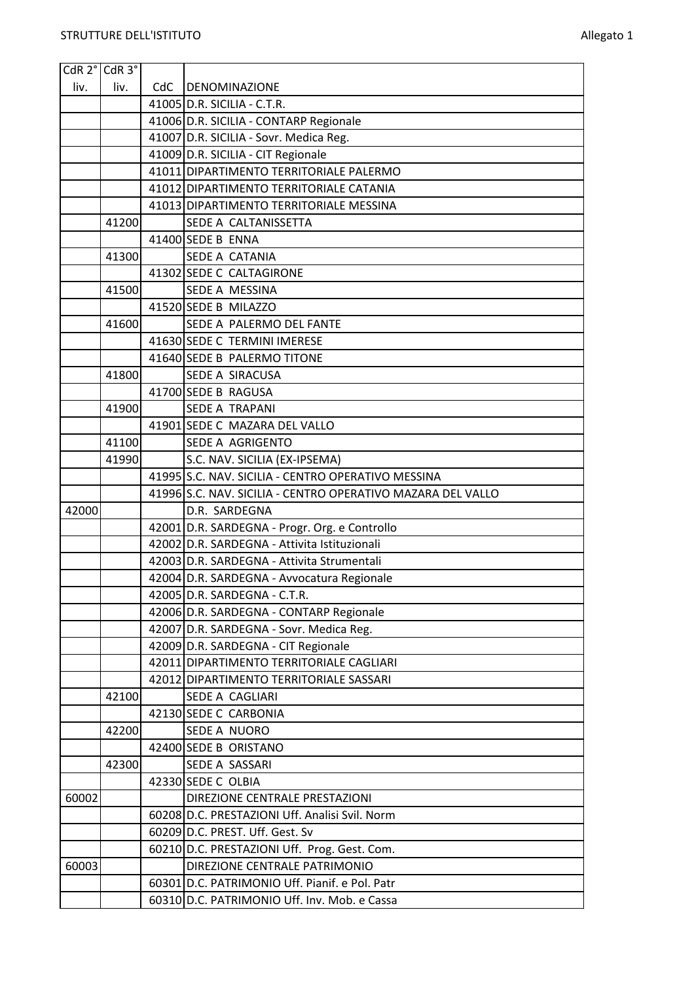| CdR 2° CdR 3° |       |     |                                                                                     |
|---------------|-------|-----|-------------------------------------------------------------------------------------|
| liv.          | liv.  | CdC | DENOMINAZIONE                                                                       |
|               |       |     | $41005$ D.R. SICILIA - C.T.R.                                                       |
|               |       |     | 41006 D.R. SICILIA - CONTARP Regionale                                              |
|               |       |     | 41007 D.R. SICILIA - Sovr. Medica Reg.                                              |
|               |       |     | 41009 D.R. SICILIA - CIT Regionale                                                  |
|               |       |     | 41011 DIPARTIMENTO TERRITORIALE PALERMO                                             |
|               |       |     | 41012 DIPARTIMENTO TERRITORIALE CATANIA                                             |
|               |       |     | 41013 DIPARTIMENTO TERRITORIALE MESSINA                                             |
|               | 41200 |     | SEDE A CALTANISSETTA                                                                |
|               |       |     | 41400 SEDE B ENNA                                                                   |
|               | 41300 |     | SEDE A CATANIA                                                                      |
|               |       |     | 41302 SEDE C CALTAGIRONE                                                            |
|               | 41500 |     | SEDE A MESSINA                                                                      |
|               |       |     | 41520 SEDE B MILAZZO                                                                |
|               | 41600 |     | SEDE A PALERMO DEL FANTE                                                            |
|               |       |     | 41630 SEDE C TERMINI IMERESE                                                        |
|               |       |     | 41640 SEDE B PALERMO TITONE                                                         |
|               | 41800 |     | <b>SEDE A SIRACUSA</b>                                                              |
|               |       |     | 41700 SEDE B RAGUSA                                                                 |
|               | 41900 |     | <b>SEDE A TRAPANI</b>                                                               |
|               |       |     | 41901 SEDE C MAZARA DEL VALLO                                                       |
|               | 41100 |     | SEDE A AGRIGENTO                                                                    |
|               | 41990 |     | S.C. NAV. SICILIA (EX-IPSEMA)                                                       |
|               |       |     | 41995 S.C. NAV. SICILIA - CENTRO OPERATIVO MESSINA                                  |
|               |       |     | 41996 S.C. NAV. SICILIA - CENTRO OPERATIVO MAZARA DEL VALLO                         |
| 42000         |       |     | D.R. SARDEGNA                                                                       |
|               |       |     | 42001 D.R. SARDEGNA - Progr. Org. e Controllo                                       |
|               |       |     | 42002 D.R. SARDEGNA - Attivita Istituzionali                                        |
|               |       |     | 42003 D.R. SARDEGNA - Attivita Strumentali                                          |
|               |       |     | 42004 D.R. SARDEGNA - Avvocatura Regionale                                          |
|               |       |     | 42005 D.R. SARDEGNA - C.T.R.                                                        |
|               |       |     | 42006 D.R. SARDEGNA - CONTARP Regionale                                             |
|               |       |     | 42007 D.R. SARDEGNA - Sovr. Medica Reg.                                             |
|               |       |     | 42009 D.R. SARDEGNA - CIT Regionale                                                 |
|               |       |     | 42011 DIPARTIMENTO TERRITORIALE CAGLIARI<br>42012 DIPARTIMENTO TERRITORIALE SASSARI |
|               | 42100 |     | SEDE A CAGLIARI                                                                     |
|               |       |     | 42130 SEDE C CARBONIA                                                               |
|               | 42200 |     | <b>SEDE A NUORO</b>                                                                 |
|               |       |     | 42400 SEDE B ORISTANO                                                               |
|               | 42300 |     | SEDE A SASSARI                                                                      |
|               |       |     | 42330 SEDE C OLBIA                                                                  |
| 60002         |       |     | DIREZIONE CENTRALE PRESTAZIONI                                                      |
|               |       |     | 60208 D.C. PRESTAZIONI Uff. Analisi Svil. Norm                                      |
|               |       |     | 60209 D.C. PREST. Uff. Gest. Sv                                                     |
|               |       |     | 60210 D.C. PRESTAZIONI Uff. Prog. Gest. Com.                                        |
| 60003         |       |     | DIREZIONE CENTRALE PATRIMONIO                                                       |
|               |       |     | 60301 D.C. PATRIMONIO Uff. Pianif. e Pol. Patr                                      |
|               |       |     | 60310 D.C. PATRIMONIO Uff. Inv. Mob. e Cassa                                        |
|               |       |     |                                                                                     |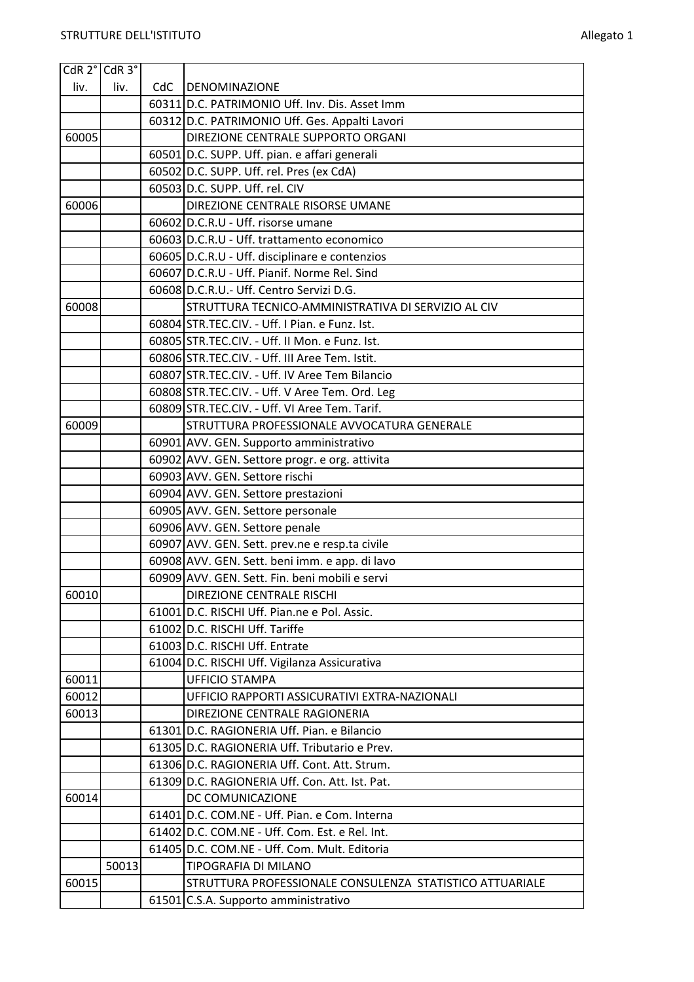|       | CdR 2° CdR 3° |     |                                                                                                  |
|-------|---------------|-----|--------------------------------------------------------------------------------------------------|
| liv.  | liv.          | CdC | <b>DENOMINAZIONE</b>                                                                             |
|       |               |     | 60311 D.C. PATRIMONIO Uff. Inv. Dis. Asset Imm                                                   |
|       |               |     | 60312 D.C. PATRIMONIO Uff. Ges. Appalti Lavori                                                   |
| 60005 |               |     | DIREZIONE CENTRALE SUPPORTO ORGANI                                                               |
|       |               |     | 60501 D.C. SUPP. Uff. pian. e affari generali                                                    |
|       |               |     | 60502 D.C. SUPP. Uff. rel. Pres (ex CdA)                                                         |
|       |               |     | 60503 D.C. SUPP. Uff. rel. CIV                                                                   |
| 60006 |               |     | DIREZIONE CENTRALE RISORSE UMANE                                                                 |
|       |               |     | 60602 D.C.R.U - Uff. risorse umane                                                               |
|       |               |     | 60603 D.C.R.U - Uff. trattamento economico                                                       |
|       |               |     | 60605 D.C.R.U - Uff. disciplinare e contenzios                                                   |
|       |               |     | 60607 D.C.R.U - Uff. Pianif. Norme Rel. Sind                                                     |
|       |               |     | 60608 D.C.R.U. - Uff. Centro Servizi D.G.                                                        |
| 60008 |               |     | STRUTTURA TECNICO-AMMINISTRATIVA DI SERVIZIO AL CIV                                              |
|       |               |     | 60804 STR.TEC.CIV. - Uff. I Pian. e Funz. Ist.                                                   |
|       |               |     | 60805 STR.TEC.CIV. - Uff. II Mon. e Funz. Ist.                                                   |
|       |               |     | 60806 STR.TEC.CIV. - Uff. III Aree Tem. Istit.                                                   |
|       |               |     | 60807 STR.TEC.CIV. - Uff. IV Aree Tem Bilancio                                                   |
|       |               |     | 60808 STR.TEC.CIV. - Uff. V Aree Tem. Ord. Leg                                                   |
|       |               |     | 60809 STR.TEC.CIV. - Uff. VI Aree Tem. Tarif.                                                    |
| 60009 |               |     | STRUTTURA PROFESSIONALE AVVOCATURA GENERALE                                                      |
|       |               |     | 60901 AVV. GEN. Supporto amministrativo                                                          |
|       |               |     | 60902 AVV. GEN. Settore progr. e org. attivita                                                   |
|       |               |     | 60903 AVV. GEN. Settore rischi                                                                   |
|       |               |     | 60904 AVV. GEN. Settore prestazioni                                                              |
|       |               |     | 60905 AVV. GEN. Settore personale                                                                |
|       |               |     | 60906 AVV. GEN. Settore penale                                                                   |
|       |               |     | 60907 AVV. GEN. Sett. prev.ne e resp.ta civile<br>60908 AVV. GEN. Sett. beni imm. e app. di lavo |
|       |               |     | 60909 AVV. GEN. Sett. Fin. beni mobili e servi                                                   |
| 60010 |               |     | DIREZIONE CENTRALE RISCHI                                                                        |
|       |               |     | 61001 D.C. RISCHI Uff. Pian.ne e Pol. Assic.                                                     |
|       |               |     | 61002 D.C. RISCHI Uff. Tariffe                                                                   |
|       |               |     | 61003 D.C. RISCHI Uff. Entrate                                                                   |
|       |               |     | 61004 D.C. RISCHI Uff. Vigilanza Assicurativa                                                    |
| 60011 |               |     | <b>UFFICIO STAMPA</b>                                                                            |
| 60012 |               |     | UFFICIO RAPPORTI ASSICURATIVI EXTRA-NAZIONALI                                                    |
| 60013 |               |     | DIREZIONE CENTRALE RAGIONERIA                                                                    |
|       |               |     | 61301 D.C. RAGIONERIA Uff. Pian. e Bilancio                                                      |
|       |               |     | 61305 D.C. RAGIONERIA Uff. Tributario e Prev.                                                    |
|       |               |     | 61306 D.C. RAGIONERIA Uff. Cont. Att. Strum.                                                     |
|       |               |     | 61309 D.C. RAGIONERIA Uff. Con. Att. Ist. Pat.                                                   |
| 60014 |               |     | DC COMUNICAZIONE                                                                                 |
|       |               |     | 61401 D.C. COM.NE - Uff. Pian. e Com. Interna                                                    |
|       |               |     | 61402 D.C. COM.NE - Uff. Com. Est. e Rel. Int.                                                   |
|       |               |     | 61405 D.C. COM.NE - Uff. Com. Mult. Editoria                                                     |
|       | 50013         |     | TIPOGRAFIA DI MILANO                                                                             |
| 60015 |               |     | STRUTTURA PROFESSIONALE CONSULENZA STATISTICO ATTUARIALE                                         |
|       |               |     | 61501 C.S.A. Supporto amministrativo                                                             |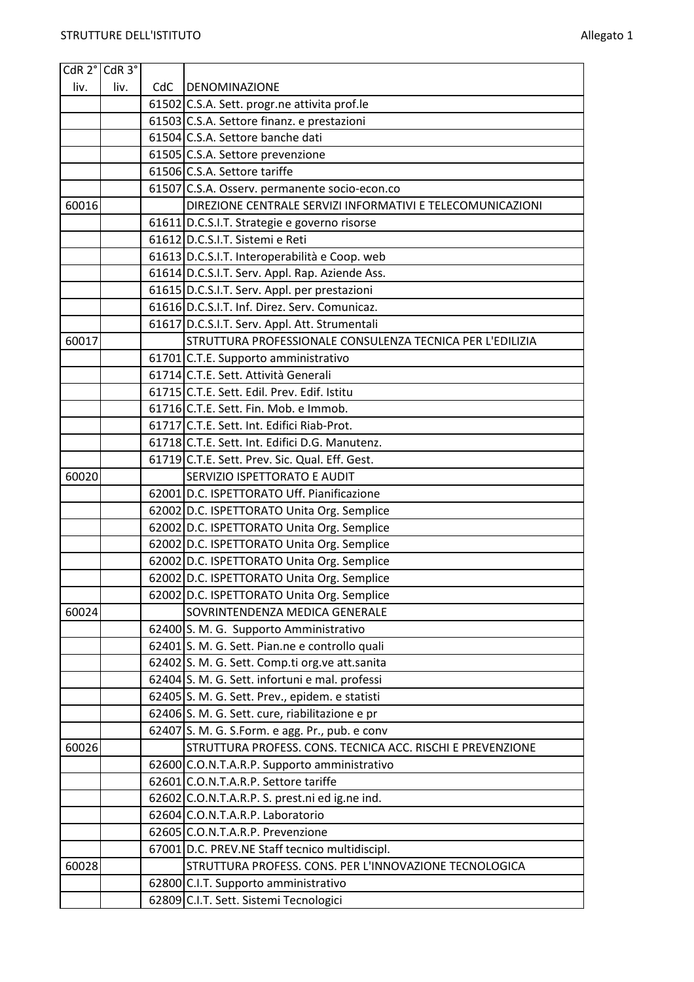|       | $ C$ dR 2 $^{\circ} C$ dR 3 $^{\circ}$ |     |                                                            |
|-------|----------------------------------------|-----|------------------------------------------------------------|
| liv.  | liv.                                   | CdC | <b>DENOMINAZIONE</b>                                       |
|       |                                        |     | 61502 C.S.A. Sett. progr.ne attivita prof.le               |
|       |                                        |     | 61503 C.S.A. Settore finanz. e prestazioni                 |
|       |                                        |     | 61504 C.S.A. Settore banche dati                           |
|       |                                        |     | 61505 C.S.A. Settore prevenzione                           |
|       |                                        |     | 61506 C.S.A. Settore tariffe                               |
|       |                                        |     | 61507 C.S.A. Osserv. permanente socio-econ.co              |
| 60016 |                                        |     | DIREZIONE CENTRALE SERVIZI INFORMATIVI E TELECOMUNICAZIONI |
|       |                                        |     | 61611 D.C.S.I.T. Strategie e governo risorse               |
|       |                                        |     | 61612 D.C.S.I.T. Sistemi e Reti                            |
|       |                                        |     | 61613 D.C.S.I.T. Interoperabilità e Coop. web              |
|       |                                        |     | 61614 D.C.S.I.T. Serv. Appl. Rap. Aziende Ass.             |
|       |                                        |     | 61615 D.C.S.I.T. Serv. Appl. per prestazioni               |
|       |                                        |     | 61616 D.C.S.I.T. Inf. Direz. Serv. Comunicaz.              |
|       |                                        |     | 61617 D.C.S.I.T. Serv. Appl. Att. Strumentali              |
| 60017 |                                        |     | STRUTTURA PROFESSIONALE CONSULENZA TECNICA PER L'EDILIZIA  |
|       |                                        |     | 61701 C.T.E. Supporto amministrativo                       |
|       |                                        |     | 61714 C.T.E. Sett. Attività Generali                       |
|       |                                        |     | 61715 C.T.E. Sett. Edil. Prev. Edif. Istitu                |
|       |                                        |     | 61716 C.T.E. Sett. Fin. Mob. e Immob.                      |
|       |                                        |     | 61717 C.T.E. Sett. Int. Edifici Riab-Prot.                 |
|       |                                        |     | 61718 C.T.E. Sett. Int. Edifici D.G. Manutenz.             |
|       |                                        |     | 61719 C.T.E. Sett. Prev. Sic. Qual. Eff. Gest.             |
| 60020 |                                        |     | SERVIZIO ISPETTORATO E AUDIT                               |
|       |                                        |     | 62001 D.C. ISPETTORATO Uff. Pianificazione                 |
|       |                                        |     | 62002 D.C. ISPETTORATO Unita Org. Semplice                 |
|       |                                        |     | 62002 D.C. ISPETTORATO Unita Org. Semplice                 |
|       |                                        |     | 62002 D.C. ISPETTORATO Unita Org. Semplice                 |
|       |                                        |     | 62002 D.C. ISPETTORATO Unita Org. Semplice                 |
|       |                                        |     | 62002 D.C. ISPETTORATO Unita Org. Semplice                 |
|       |                                        |     | 62002 D.C. ISPETTORATO Unita Org. Semplice                 |
| 60024 |                                        |     | SOVRINTENDENZA MEDICA GENERALE                             |
|       |                                        |     | 62400 S. M. G. Supporto Amministrativo                     |
|       |                                        |     | 62401 S. M. G. Sett. Pian.ne e controllo quali             |
|       |                                        |     | 62402 S. M. G. Sett. Comp.ti org.ve att.sanita             |
|       |                                        |     | 62404 S. M. G. Sett. infortuni e mal. professi             |
|       |                                        |     | 62405 S. M. G. Sett. Prev., epidem. e statisti             |
|       |                                        |     | 62406 S. M. G. Sett. cure, riabilitazione e pr             |
|       |                                        |     | 62407 S. M. G. S.Form. e agg. Pr., pub. e conv             |
| 60026 |                                        |     | STRUTTURA PROFESS. CONS. TECNICA ACC. RISCHI E PREVENZIONE |
|       |                                        |     | 62600 C.O.N.T.A.R.P. Supporto amministrativo               |
|       |                                        |     | 62601 C.O.N.T.A.R.P. Settore tariffe                       |
|       |                                        |     | 62602 C.O.N.T.A.R.P. S. prest.ni ed ig.ne ind.             |
|       |                                        |     | 62604 C.O.N.T.A.R.P. Laboratorio                           |
|       |                                        |     | 62605 C.O.N.T.A.R.P. Prevenzione                           |
|       |                                        |     | 67001 D.C. PREV.NE Staff tecnico multidiscipl.             |
| 60028 |                                        |     | STRUTTURA PROFESS. CONS. PER L'INNOVAZIONE TECNOLOGICA     |
|       |                                        |     | 62800 C.I.T. Supporto amministrativo                       |
|       |                                        |     | 62809 C.I.T. Sett. Sistemi Tecnologici                     |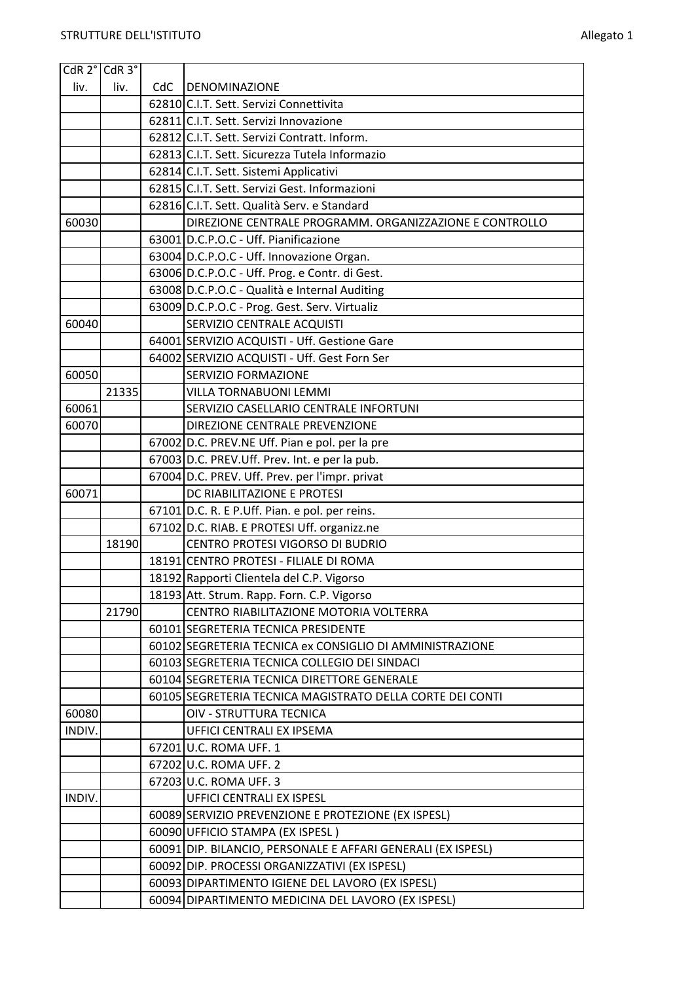| CdR 2° CdR 3° |       |     |                                                                                     |
|---------------|-------|-----|-------------------------------------------------------------------------------------|
| liv.          | liv.  | CdC | DENOMINAZIONE                                                                       |
|               |       |     | 62810 C.I.T. Sett. Servizi Connettivita                                             |
|               |       |     | 62811 C.I.T. Sett. Servizi Innovazione                                              |
|               |       |     | 62812 C.I.T. Sett. Servizi Contratt. Inform.                                        |
|               |       |     | 62813 C.I.T. Sett. Sicurezza Tutela Informazio                                      |
|               |       |     | 62814 C.I.T. Sett. Sistemi Applicativi                                              |
|               |       |     | 62815 C.I.T. Sett. Servizi Gest. Informazioni                                       |
|               |       |     | 62816 C.I.T. Sett. Qualità Serv. e Standard                                         |
| 60030         |       |     | DIREZIONE CENTRALE PROGRAMM. ORGANIZZAZIONE E CONTROLLO                             |
|               |       |     | 63001 D.C.P.O.C - Uff. Pianificazione                                               |
|               |       |     | 63004 D.C.P.O.C - Uff. Innovazione Organ.                                           |
|               |       |     | 63006 D.C.P.O.C - Uff. Prog. e Contr. di Gest.                                      |
|               |       |     | 63008 D.C.P.O.C - Qualità e Internal Auditing                                       |
|               |       |     | 63009 D.C.P.O.C - Prog. Gest. Serv. Virtualiz                                       |
| 60040         |       |     | SERVIZIO CENTRALE ACQUISTI                                                          |
|               |       |     | 64001 SERVIZIO ACQUISTI - Uff. Gestione Gare                                        |
|               |       |     | 64002 SERVIZIO ACQUISTI - Uff. Gest Forn Ser                                        |
| 60050         |       |     | <b>SERVIZIO FORMAZIONE</b>                                                          |
|               | 21335 |     | <b>VILLA TORNABUONI LEMMI</b>                                                       |
| 60061         |       |     | SERVIZIO CASELLARIO CENTRALE INFORTUNI                                              |
| 60070         |       |     | DIREZIONE CENTRALE PREVENZIONE                                                      |
|               |       |     | 67002 D.C. PREV.NE Uff. Pian e pol. per la pre                                      |
|               |       |     | 67003 D.C. PREV.Uff. Prev. Int. e per la pub.                                       |
|               |       |     | 67004 D.C. PREV. Uff. Prev. per l'impr. privat                                      |
| 60071         |       |     | DC RIABILITAZIONE E PROTESI                                                         |
|               |       |     | 67101 D.C. R. E P.Uff. Pian. e pol. per reins.                                      |
|               |       |     | 67102 D.C. RIAB. E PROTESI Uff. organizz.ne                                         |
|               | 18190 |     | CENTRO PROTESI VIGORSO DI BUDRIO                                                    |
|               |       |     | 18191 CENTRO PROTESI - FILIALE DI ROMA<br>18192 Rapporti Clientela del C.P. Vigorso |
|               |       |     | 18193 Att. Strum. Rapp. Forn. C.P. Vigorso                                          |
|               | 21790 |     | CENTRO RIABILITAZIONE MOTORIA VOLTERRA                                              |
|               |       |     | 60101 SEGRETERIA TECNICA PRESIDENTE                                                 |
|               |       |     | 60102 SEGRETERIA TECNICA ex CONSIGLIO DI AMMINISTRAZIONE                            |
|               |       |     | 60103 SEGRETERIA TECNICA COLLEGIO DEI SINDACI                                       |
|               |       |     | 60104 SEGRETERIA TECNICA DIRETTORE GENERALE                                         |
|               |       |     | 60105 SEGRETERIA TECNICA MAGISTRATO DELLA CORTE DEI CONTI                           |
| 60080         |       |     | OIV - STRUTTURA TECNICA                                                             |
| INDIV.        |       |     | UFFICI CENTRALI EX IPSEMA                                                           |
|               |       |     | 67201 U.C. ROMA UFF. 1                                                              |
|               |       |     | 67202 U.C. ROMA UFF. 2                                                              |
|               |       |     | 67203 U.C. ROMA UFF. 3                                                              |
| INDIV.        |       |     | <b>UFFICI CENTRALI EX ISPESL</b>                                                    |
|               |       |     | 60089 SERVIZIO PREVENZIONE E PROTEZIONE (EX ISPESL)                                 |
|               |       |     | 60090 UFFICIO STAMPA (EX ISPESL)                                                    |
|               |       |     | 60091 DIP. BILANCIO, PERSONALE E AFFARI GENERALI (EX ISPESL)                        |
|               |       |     | 60092 DIP. PROCESSI ORGANIZZATIVI (EX ISPESL)                                       |
|               |       |     | 60093 DIPARTIMENTO IGIENE DEL LAVORO (EX ISPESL)                                    |
|               |       |     | 60094 DIPARTIMENTO MEDICINA DEL LAVORO (EX ISPESL)                                  |